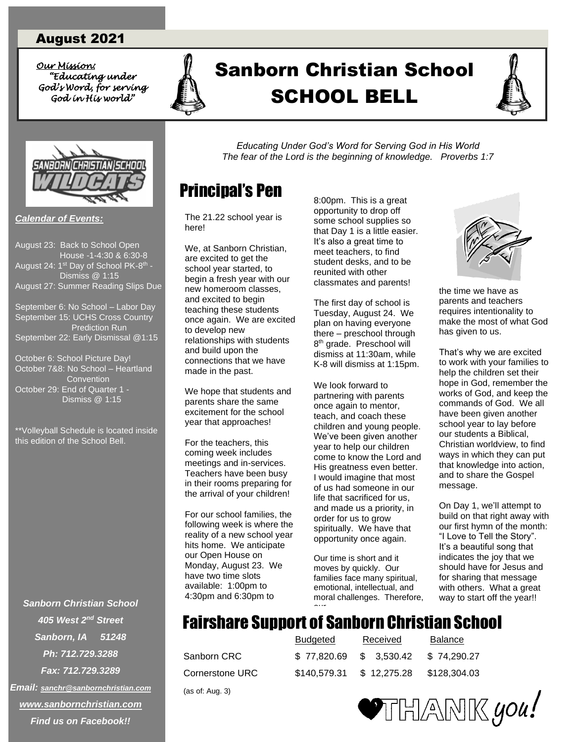### August 2021

*Our Mission: Our Mission: "Educating under God's Word, for serving God in His world"* 



# *<u>"King under</u>* A Sanborn Christian School SCHOOL BELL SCHOOL BELL





*Calendar of Events:*

August 23: Back to School Open House -1-4:30 & 6:30-8 August 24: 1<sup>st</sup> Day of School PK-8<sup>th</sup> - Dismiss @ 1:15 August 27: Summer Reading Slips Due September 6: No School – Labor Day September 15: UCHS Cross Country Prediction Run September 22: Early Dismissal @1:15

October 6: School Picture Day! October 7&8: No School – Heartland **Convention** October 29: End of Quarter 1 - Dismiss @ 1:15

\*\*Volleyball Schedule is located inside this edition of the School Bell.

*Sanborn Christian School 405 West 2nd Street Sanborn, IA 51248 Ph: 712.729.3288 Fax: 712.729.3289 Email: [sanchr@sanbornchristian.com](mailto:sanchr@sanbornchristian.com) [www.sanbornchristian.com](http://www.sanbornchristian.com/) Find us on Facebook!!*

*Educating Under God's Word for Serving God in His World The fear of the Lord is the beginning of knowledge. Proverbs 1:7*

### Principal's Pen

The 21.22 school year is here!

We, at Sanborn Christian, are excited to get the school year started, to begin a fresh year with our new homeroom classes, and excited to begin teaching these students once again. We are excited to develop new relationships with students and build upon the connections that we have made in the past.

We hope that students and parents share the same excitement for the school year that approaches!

For the teachers, this coming week includes meetings and in-services. Teachers have been busy in their rooms preparing for the arrival of your children!

For our school families, the following week is where the reality of a new school year hits home. We anticipate our Open House on Monday, August 23. We have two time slots available: 1:00pm to 4:30pm and 6:30pm to

8:00pm. This is a great opportunity to drop off some school supplies so that Day 1 is a little easier. It's also a great time to meet teachers, to find student desks, and to be reunited with other classmates and parents!

The first day of school is Tuesday, August 24. We plan on having everyone there – preschool through 8<sup>th</sup> grade. Preschool will dismiss at 11:30am, while K-8 will dismiss at 1:15pm.

We look forward to partnering with parents once again to mentor, teach, and coach these children and young people. We've been given another year to help our children come to know the Lord and His greatness even better. I would imagine that most of us had someone in our life that sacrificed for us, and made us a priority, in order for us to grow spiritually. We have that opportunity once again.

Our time is short and it moves by quickly. Our families face many spiritual, emotional, intellectual, and moral challenges. Therefore, our



the time we have as parents and teachers requires intentionality to make the most of what God has given to us.

That's why we are excited to work with your families to help the children set their hope in God, remember the works of God, and keep the commands of God. We all have been given another school year to lay before our students a Biblical, Christian worldview, to find ways in which they can put that knowledge into action, and to share the Gospel message.

On Day 1, we'll attempt to build on that right away with our first hymn of the month: "I Love to Tell the Story". It's a beautiful song that indicates the joy that we should have for Jesus and for sharing that message with others. What a great way to start off the year!!

### Fairshare Support of Sanborn Christian School

Sanborn CRC Cornerstone URC (as of: Aug. 3)

|                 | Budgeted               | Received    | Balance      |
|-----------------|------------------------|-------------|--------------|
| Sanborn CRC     | \$77.820.69 \$3.530.42 |             | \$74.290.27  |
| Cornerstone URC | \$140.579.31           | \$12,275,28 | \$128.304.03 |

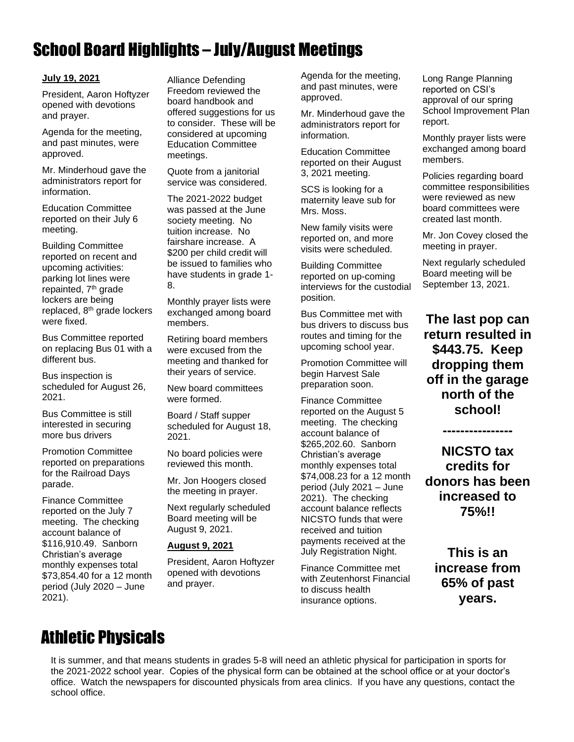# School Board Highlights – July/August Meetings

#### **July 19, 2021**

President, Aaron Hoftyzer opened with devotions and prayer.

Agenda for the meeting, and past minutes, were approved.

Mr. Minderhoud gave the administrators report for information.

Education Committee reported on their July 6 meeting.

Building Committee reported on recent and upcoming activities: parking lot lines were repainted, 7<sup>th</sup> grade lockers are being replaced, 8th grade lockers were fixed.

Bus Committee reported on replacing Bus 01 with a different bus.

Bus inspection is scheduled for August 26, 2021.

Bus Committee is still interested in securing more bus drivers

Promotion Committee reported on preparations for the Railroad Days parade.

Finance Committee reported on the July 7 meeting. The checking account balance of \$116,910.49. Sanborn Christian's average monthly expenses total \$73,854.40 for a 12 month period (July 2020 – June 2021).

Alliance Defending Freedom reviewed the board handbook and offered suggestions for us to consider. These will be considered at upcoming Education Committee meetings.

Quote from a janitorial service was considered.

The 2021-2022 budget was passed at the June society meeting. No tuition increase. No fairshare increase. A \$200 per child credit will be issued to families who have students in grade 1- 8.

Monthly prayer lists were exchanged among board members.

Retiring board members were excused from the meeting and thanked for their years of service.

New board committees were formed.

Board / Staff supper scheduled for August 18, 2021.

No board policies were reviewed this month.

Mr. Jon Hoogers closed the meeting in prayer.

Next regularly scheduled Board meeting will be August 9, 2021.

#### **August 9, 2021**

President, Aaron Hoftyzer opened with devotions and prayer.

Agenda for the meeting, and past minutes, were approved.

Mr. Minderhoud gave the administrators report for information.

Education Committee reported on their August 3, 2021 meeting.

SCS is looking for a maternity leave sub for Mrs. Moss.

New family visits were reported on, and more visits were scheduled.

Building Committee reported on up-coming interviews for the custodial position.

Bus Committee met with bus drivers to discuss bus routes and timing for the upcoming school year.

Promotion Committee will begin Harvest Sale preparation soon.

Finance Committee reported on the August 5 meeting. The checking account balance of \$265,202.60. Sanborn Christian's average monthly expenses total \$74,008.23 for a 12 month period (July 2021 – June 2021). The checking account balance reflects NICSTO funds that were received and tuition payments received at the July Registration Night.

Finance Committee met with Zeutenhorst Financial to discuss health insurance options.

Long Range Planning reported on CSI's approval of our spring School Improvement Plan report.

Monthly prayer lists were exchanged among board members.

Policies regarding board committee responsibilities were reviewed as new board committees were created last month.

Mr. Jon Covey closed the meeting in prayer.

Next regularly scheduled Board meeting will be September 13, 2021.

**The last pop can return resulted in \$443.75. Keep dropping them off in the garage north of the school!**

**NICSTO tax credits for donors has been increased to 75%!!** 

**----------------**

**This is an increase from 65% of past years.**

# Athletic Physicals

It is summer, and that means students in grades 5-8 will need an athletic physical for participation in sports for the 2021-2022 school year. Copies of the physical form can be obtained at the school office or at your doctor's office. Watch the newspapers for discounted physicals from area clinics. If you have any questions, contact the school office.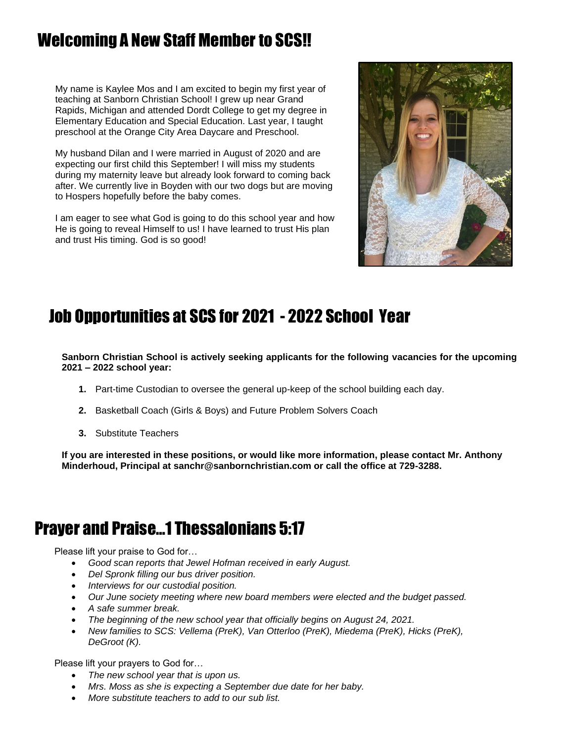# Welcoming A New Staff Member to SCS!!

My name is Kaylee Mos and I am excited to begin my first year of teaching at Sanborn Christian School! I grew up near Grand Rapids, Michigan and attended Dordt College to get my degree in Elementary Education and Special Education. Last year, I taught preschool at the Orange City Area Daycare and Preschool.

My husband Dilan and I were married in August of 2020 and are expecting our first child this September! I will miss my students during my maternity leave but already look forward to coming back after. We currently live in Boyden with our two dogs but are moving to Hospers hopefully before the baby comes.

I am eager to see what God is going to do this school year and how He is going to reveal Himself to us! I have learned to trust His plan and trust His timing. God is so good!



# Job Opportunities at SCS for 2021 - 2022 School Year

**Sanborn Christian School is actively seeking applicants for the following vacancies for the upcoming 2021 – 2022 school year:**

- **1.** Part-time Custodian to oversee the general up-keep of the school building each day.
- **2.** Basketball Coach (Girls & Boys) and Future Problem Solvers Coach
- **3.** Substitute Teachers

**If you are interested in these positions, or would like more information, please contact Mr. Anthony Minderhoud, Principal at sanchr@sanbornchristian.com or call the office at 729-3288.**

### Prayer and Praise…1 Thessalonians 5:17

Please lift your praise to God for…

- *Good scan reports that Jewel Hofman received in early August.*
- *Del Spronk filling our bus driver position.*
- *Interviews for our custodial position.*
- *Our June society meeting where new board members were elected and the budget passed.*
- *A safe summer break.*
- *The beginning of the new school year that officially begins on August 24, 2021.*
- *New families to SCS: Vellema (PreK), Van Otterloo (PreK), Miedema (PreK), Hicks (PreK), DeGroot (K).*

Please lift your prayers to God for…

- *The new school year that is upon us.*
- *Mrs. Moss as she is expecting a September due date for her baby.*
- *More substitute teachers to add to our sub list.*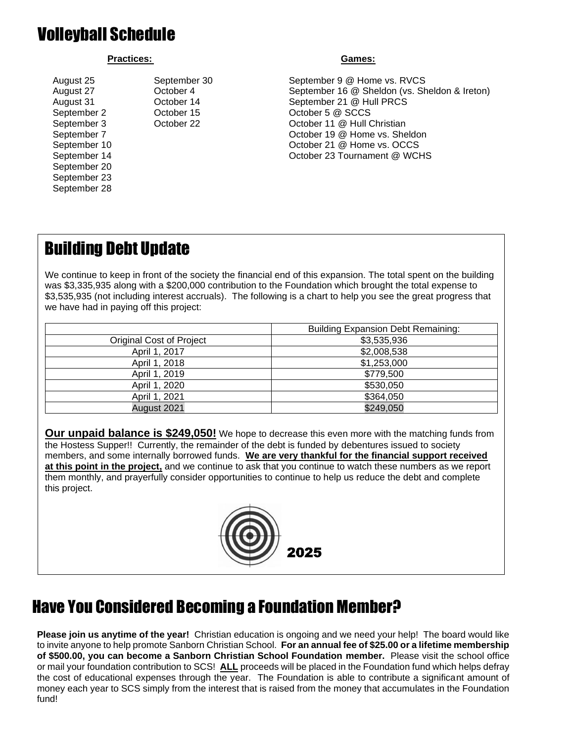# Volleyball Schedule

#### Practices: Games: **Games:** Games: **Games:** Games: **Games: Games: Games: Games: Games: Games: Games: Games: Games: Games: Games: Games: Games: Games: Games: Games: Games: Games: Games:**

September 20 September 23 September 28

August 25 September 30 September 9 @ Home vs. RVCS August 27 October 4 September 16 @ Sheldon (vs. Sheldon & Ireton) August 31 October 14 September 21 @ Hull PRCS September 2 October 15 October 5 @ SCCS September 3 October 22 October 11 @ Hull Christian September 7 **Contact 2** October 19 @ Home vs. Sheldon September 10 October 21 @ Home vs. OCCS September 14 October 23 Tournament @ WCHS

# Building Debt Update

We continue to keep in front of the society the financial end of this expansion. The total spent on the building was \$3,335,935 along with a \$200,000 contribution to the Foundation which brought the total expense to \$3,535,935 (not including interest accruals). The following is a chart to help you see the great progress that we have had in paying off this project:

|                          | <b>Building Expansion Debt Remaining:</b> |
|--------------------------|-------------------------------------------|
| Original Cost of Project | \$3,535,936                               |
| April 1, 2017            | \$2,008,538                               |
| April 1, 2018            | \$1,253,000                               |
| April 1, 2019            | \$779,500                                 |
| April 1, 2020            | \$530,050                                 |
| April 1, 2021            | \$364,050                                 |
| August 2021              | \$249,050                                 |

**Our unpaid balance is \$249,050!** We hope to decrease this even more with the matching funds from the Hostess Supper!! Currently, the remainder of the debt is funded by debentures issued to society members, and some internally borrowed funds. **We are very thankful for the financial support received at this point in the project,** and we continue to ask that you continue to watch these numbers as we report them monthly, and prayerfully consider opportunities to continue to help us reduce the debt and complete this project.



# Have You Considered Becoming a Foundation Member?

**Please join us anytime of the year!** Christian education is ongoing and we need your help! The board would like to invite anyone to help promote Sanborn Christian School. **For an annual fee of \$25.00 or a lifetime membership of \$500.00, you can become a Sanborn Christian School Foundation member.** Please visit the school office or mail your foundation contribution to SCS! **ALL** proceeds will be placed in the Foundation fund which helps defray the cost of educational expenses through the year. The Foundation is able to contribute a significant amount of money each year to SCS simply from the interest that is raised from the money that accumulates in the Foundation fund!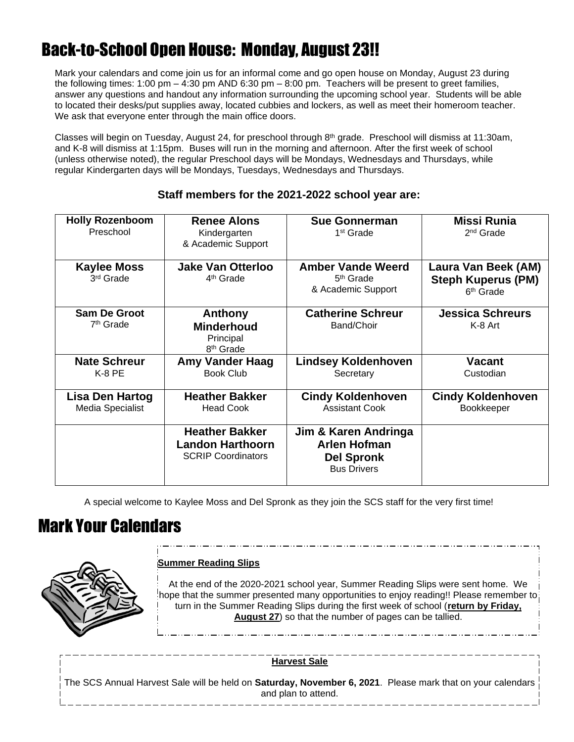# Back-to-School Open House: Monday, August 23!!

Mark your calendars and come join us for an informal come and go open house on Monday, August 23 during the following times: 1:00 pm  $-$  4:30 pm AND 6:30 pm  $-$  8:00 pm. Teachers will be present to greet families, answer any questions and handout any information surrounding the upcoming school year. Students will be able to located their desks/put supplies away, located cubbies and lockers, as well as meet their homeroom teacher. We ask that everyone enter through the main office doors.

Classes will begin on Tuesday, August 24, for preschool through 8th grade. Preschool will dismiss at 11:30am, and K-8 will dismiss at 1:15pm. Buses will run in the morning and afternoon. After the first week of school (unless otherwise noted), the regular Preschool days will be Mondays, Wednesdays and Thursdays, while regular Kindergarten days will be Mondays, Tuesdays, Wednesdays and Thursdays.

| <b>Holly Rozenboom</b><br>Preschool          | <b>Renee Alons</b><br>Kindergarten<br>& Academic Support                      | <b>Sue Gonnerman</b><br>1 <sup>st</sup> Grade                                          | <b>Missi Runia</b><br>2 <sup>nd</sup> Grade                               |  |  |  |  |
|----------------------------------------------|-------------------------------------------------------------------------------|----------------------------------------------------------------------------------------|---------------------------------------------------------------------------|--|--|--|--|
| <b>Kaylee Moss</b><br>3 <sup>rd</sup> Grade  | <b>Jake Van Otterloo</b><br>4 <sup>th</sup> Grade                             | <b>Amber Vande Weerd</b><br>5 <sup>th</sup> Grade<br>& Academic Support                | Laura Van Beek (AM)<br><b>Steph Kuperus (PM)</b><br>6 <sup>th</sup> Grade |  |  |  |  |
| <b>Sam De Groot</b><br>7 <sup>th</sup> Grade | Anthony<br><b>Minderhoud</b><br>Principal<br>8 <sup>th</sup> Grade            | <b>Catherine Schreur</b><br>Band/Choir                                                 | <b>Jessica Schreurs</b><br>K-8 Art                                        |  |  |  |  |
| <b>Nate Schreur</b><br>K-8 PE                | <b>Amy Vander Haag</b><br><b>Book Club</b>                                    | <b>Lindsey Koldenhoven</b><br>Secretary                                                | <b>Vacant</b><br>Custodian                                                |  |  |  |  |
| Lisa Den Hartog<br>Media Specialist          | <b>Heather Bakker</b><br><b>Head Cook</b>                                     | <b>Cindy Koldenhoven</b><br><b>Assistant Cook</b>                                      | <b>Cindy Koldenhoven</b><br>Bookkeeper                                    |  |  |  |  |
|                                              | <b>Heather Bakker</b><br><b>Landon Harthoorn</b><br><b>SCRIP Coordinators</b> | Jim & Karen Andringa<br><b>Arlen Hofman</b><br><b>Del Spronk</b><br><b>Bus Drivers</b> |                                                                           |  |  |  |  |

### **Staff members for the 2021-2022 school year are:**

A special welcome to Kaylee Moss and Del Spronk as they join the SCS staff for the very first time!

### Mark Your Calendars



### **Summer Reading Slips**

At the end of the 2020-2021 school year, Summer Reading Slips were sent home. We hope that the summer presented many opportunities to enjoy reading!! Please remember to: turn in the Summer Reading Slips during the first week of school (**return by Friday, August 27**) so that the number of pages can be tallied.

**Harvest Sale**

The SCS Annual Harvest Sale will be held on **Saturday, November 6, 2021**. Please mark that on your calendars and plan to attend.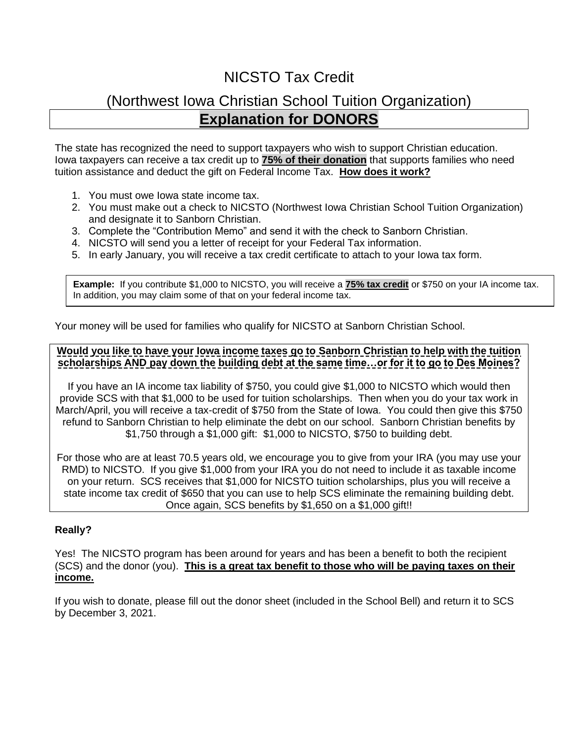### NICSTO Tax Credit

### (Northwest Iowa Christian School Tuition Organization) **Explanation for DONORS**

The state has recognized the need to support taxpayers who wish to support Christian education. Iowa taxpayers can receive a tax credit up to **75% of their donation** that supports families who need tuition assistance and deduct the gift on Federal Income Tax. **How does it work?**

- 1. You must owe Iowa state income tax.
- 2. You must make out a check to NICSTO (Northwest Iowa Christian School Tuition Organization) and designate it to Sanborn Christian.
- 3. Complete the "Contribution Memo" and send it with the check to Sanborn Christian.
- 4. NICSTO will send you a letter of receipt for your Federal Tax information.
- 5. In early January, you will receive a tax credit certificate to attach to your Iowa tax form.

**Example:** If you contribute \$1,000 to NICSTO, you will receive a **75% tax credit** or \$750 on your IA income tax. In addition, you may claim some of that on your federal income tax.

Your money will be used for families who qualify for NICSTO at Sanborn Christian School.

### **Would you like to have your Iowa income taxes go to Sanborn Christian to help with the tuition scholarships AND pay down the building debt at the same time…or for it to go to Des Moines?**

If you have an IA income tax liability of \$750, you could give \$1,000 to NICSTO which would then provide SCS with that \$1,000 to be used for tuition scholarships. Then when you do your tax work in March/April, you will receive a tax-credit of \$750 from the State of Iowa. You could then give this \$750 refund to Sanborn Christian to help eliminate the debt on our school. Sanborn Christian benefits by \$1,750 through a \$1,000 gift: \$1,000 to NICSTO, \$750 to building debt.

For those who are at least 70.5 years old, we encourage you to give from your IRA (you may use your RMD) to NICSTO. If you give \$1,000 from your IRA you do not need to include it as taxable income on your return. SCS receives that \$1,000 for NICSTO tuition scholarships, plus you will receive a state income tax credit of \$650 that you can use to help SCS eliminate the remaining building debt. Once again, SCS benefits by \$1,650 on a \$1,000 gift!!

### **Really?**

Yes! The NICSTO program has been around for years and has been a benefit to both the recipient (SCS) and the donor (you). **This is a great tax benefit to those who will be paying taxes on their income.** 

If you wish to donate, please fill out the donor sheet (included in the School Bell) and return it to SCS by December 3, 2021.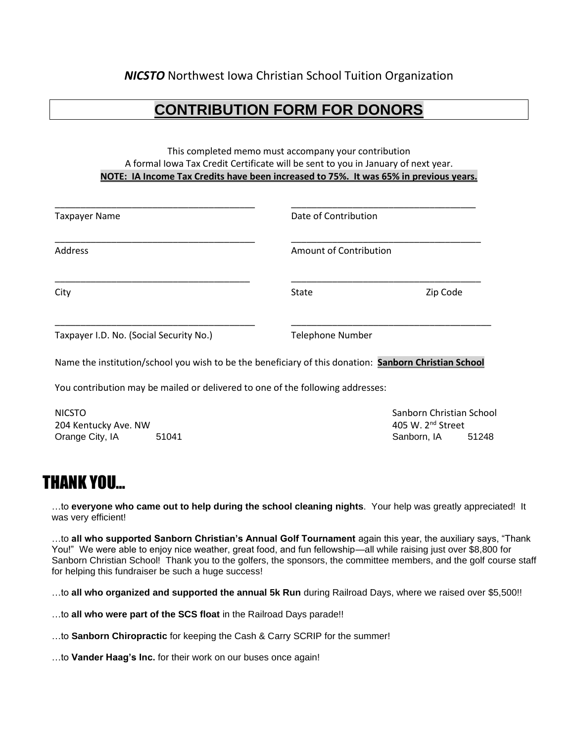### **CONTRIBUTION FORM FOR DONORS**

#### This completed memo must accompany your contribution A formal Iowa Tax Credit Certificate will be sent to you in January of next year. **NOTE: IA Income Tax Credits have been increased to 75%. It was 65% in previous years.**

| <b>Taxpayer Name</b>                    | Date of Contribution    |          |  |  |  |  |  |
|-----------------------------------------|-------------------------|----------|--|--|--|--|--|
| Address                                 | Amount of Contribution  |          |  |  |  |  |  |
| City                                    | <b>State</b>            | Zip Code |  |  |  |  |  |
| Taxpayer I.D. No. (Social Security No.) | <b>Telephone Number</b> |          |  |  |  |  |  |

Name the institution/school you wish to be the beneficiary of this donation: **Sanborn Christian School**

You contribution may be mailed or delivered to one of the following addresses:

NICSTO Sanborn Christian School 204 Kentucky Ave. NW 100 MHz extended the state of the state of the 405 W. 2<sup>nd</sup> Street Orange City, IA 51041 51041 Sanborn, IA 51248

### THANK YOU…

…to **everyone who came out to help during the school cleaning nights**. Your help was greatly appreciated! It was very efficient!

…to **all who supported Sanborn Christian's Annual Golf Tournament** again this year, the auxiliary says, "Thank You!" We were able to enjoy nice weather, great food, and fun fellowship—all while raising just over \$8,800 for Sanborn Christian School! Thank you to the golfers, the sponsors, the committee members, and the golf course staff for helping this fundraiser be such a huge success!

…to **all who organized and supported the annual 5k Run** during Railroad Days, where we raised over \$5,500!!

…to **all who were part of the SCS float** in the Railroad Days parade!!

…to **Sanborn Chiropractic** for keeping the Cash & Carry SCRIP for the summer!

…to **Vander Haag's Inc.** for their work on our buses once again!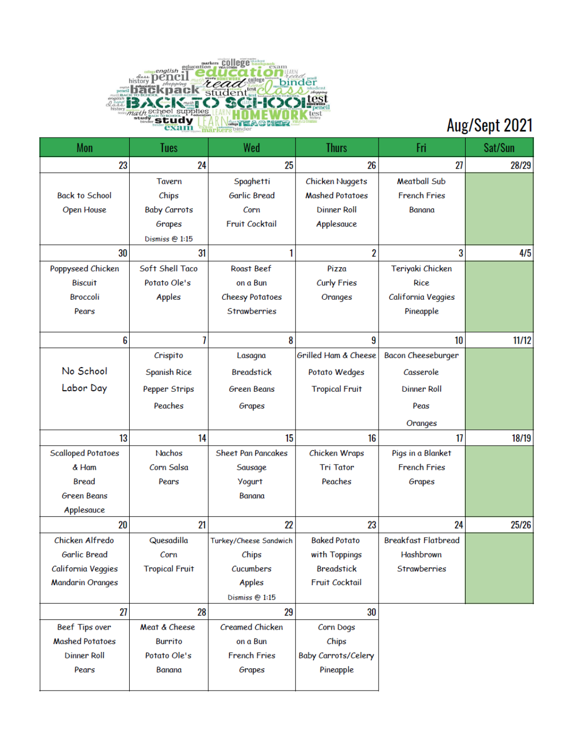

# Aug/Sept 2021

| Mon                       | Tues                  | Wed                       | <b>Thurs</b>               | Fri                        | Sat/Sun |
|---------------------------|-----------------------|---------------------------|----------------------------|----------------------------|---------|
| 23                        | 24                    | 25                        | 26                         | 27                         | 28/29   |
|                           | Tavern                | Spaghetti                 | Chicken Nuggets            | <b>Meatball Sub</b>        |         |
| <b>Back to School</b>     | Chips                 | <b>Garlic Bread</b>       | <b>Mashed Potatoes</b>     | <b>French Fries</b>        |         |
| Open House                | <b>Baby Carrots</b>   | Corn                      | <b>Dinner Roll</b>         | Banana                     |         |
|                           | Grapes                | <b>Fruit Cocktail</b>     | Applesauce                 |                            |         |
|                           | Dismiss @ 1:15        |                           |                            |                            |         |
| 30                        | 31                    | 1                         | $\overline{2}$             | 3                          | 4/5     |
| Poppyseed Chicken         | Soft Shell Taco       | Roast Beef                | Pizza                      | Teriyaki Chicken           |         |
| <b>Biscuit</b>            | Potato Ole's          | on a Bun                  | <b>Curly Fries</b>         | Rice                       |         |
| <b>Broccoli</b>           | Apples                | <b>Cheesy Potatoes</b>    | Oranges                    | California Veggies         |         |
| Pears                     |                       | Strawberries              |                            | Pineapple                  |         |
|                           |                       |                           |                            |                            |         |
| 6                         | 7                     | 8                         | 9                          | 10                         | 11/12   |
|                           | Crispito              | Lasagna                   | Grilled Ham & Cheese       | Bacon Cheeseburger         |         |
| No School                 | <b>Spanish Rice</b>   | <b>Breadstick</b>         | Potato Wedges              | Casserole                  |         |
| Labor Day                 | Pepper Strips         | <b>Green Beans</b>        | <b>Tropical Fruit</b>      | <b>Dinner Roll</b>         |         |
|                           | Peaches               | Grapes                    |                            | Peas                       |         |
|                           |                       |                           |                            | Oranges                    |         |
| 13                        | 14                    | 15                        | 16                         | 17                         | 18/19   |
| <b>Scalloped Potatoes</b> | Nachos                | <b>Sheet Pan Pancakes</b> | Chicken Wraps              | Pigs in a Blanket          |         |
| & Ham                     | Corn Salsa            | Sausage                   | <b>Tri Tator</b>           | <b>French Fries</b>        |         |
| Bread                     | Pears                 | <b>Yogurt</b>             | Peaches                    | Grapes                     |         |
| <b>Green Beans</b>        |                       | Banana                    |                            |                            |         |
| Applesauce                |                       |                           |                            |                            |         |
| 20                        | 21                    | 22                        | 23                         | 24                         | 25/26   |
| Chicken Alfredo           | Quesadilla            | Turkey/Cheese Sandwich    | <b>Baked Potato</b>        | <b>Breakfast Flatbread</b> |         |
| Garlic Bread              | Corn                  | Chips                     | with Toppings              | Hashbrown                  |         |
| California Veggies        | <b>Tropical Fruit</b> | Cucumbers                 | <b>Breadstick</b>          | <b>Strawberries</b>        |         |
| <b>Mandarin Oranges</b>   |                       | Apples                    | <b>Fruit Cocktail</b>      |                            |         |
|                           |                       | Dismiss @ 1:15            |                            |                            |         |
| 27                        | 28                    | 29                        | 30                         |                            |         |
| Beef Tips over            | Meat & Cheese         | <b>Creamed Chicken</b>    | Corn Dogs                  |                            |         |
| <b>Mashed Potatoes</b>    | <b>Burrito</b>        | on a Bun                  | Chips                      |                            |         |
| <b>Dinner Roll</b>        | Potato Ole's          | <b>French Fries</b>       | <b>Baby Carrots/Celery</b> |                            |         |
| Pears                     | Banana                | Grapes                    | Pineapple                  |                            |         |
|                           |                       |                           |                            |                            |         |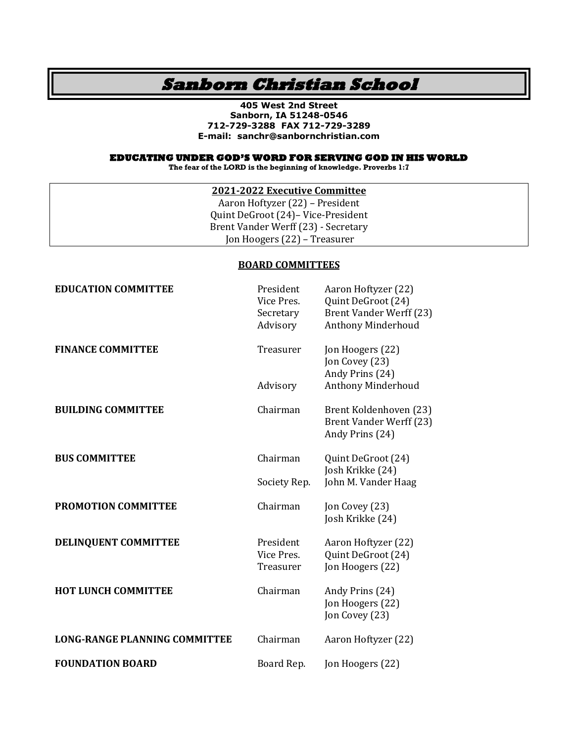### **Sanborn Christian School**

**405 West 2nd Street Sanborn, IA 51248-0546 712-729-3288 FAX 712-729-3289 E-mail: sanchr@sanbornchristian.com**

#### **EDUCATING UNDER GOD'S WORD FOR SERVING GOD IN HIS WORLD**

**The fear of the LORD is the beginning of knowledge. Proverbs 1:7**

### **2021-2022 Executive Committee**

Aaron Hoftyzer (22) – President Quint DeGroot (24)– Vice-President Brent Vander Werff (23) - Secretary Jon Hoogers (22) – Treasurer

#### **BOARD COMMITTEES**

| <b>EDUCATION COMMITTEE</b>           | President<br>Vice Pres.<br>Secretary<br>Advisory | Aaron Hoftyzer (22)<br>Quint DeGroot (24)<br><b>Brent Vander Werff (23)</b><br><b>Anthony Minderhoud</b> |
|--------------------------------------|--------------------------------------------------|----------------------------------------------------------------------------------------------------------|
| <b>FINANCE COMMITTEE</b>             | Treasurer                                        | Jon Hoogers (22)<br>Jon Covey (23)<br>Andy Prins (24)                                                    |
|                                      | Advisory                                         | Anthony Minderhoud                                                                                       |
| <b>BUILDING COMMITTEE</b>            | Chairman                                         | Brent Koldenhoven (23)<br><b>Brent Vander Werff (23)</b><br>Andy Prins (24)                              |
| <b>BUS COMMITTEE</b>                 | Chairman                                         | Quint DeGroot (24)<br>Josh Krikke (24)                                                                   |
|                                      | Society Rep.                                     | John M. Vander Haag                                                                                      |
| <b>PROMOTION COMMITTEE</b>           | Chairman                                         | Jon Covey (23)<br>Josh Krikke (24)                                                                       |
| DELINQUENT COMMITTEE                 | President<br>Vice Pres.<br>Treasurer             | Aaron Hoftyzer (22)<br>Quint DeGroot (24)<br>Jon Hoogers (22)                                            |
| <b>HOT LUNCH COMMITTEE</b>           | Chairman                                         | Andy Prins (24)<br>Jon Hoogers (22)<br>Jon Covey (23)                                                    |
| <b>LONG-RANGE PLANNING COMMITTEE</b> | Chairman                                         | Aaron Hoftyzer (22)                                                                                      |
| <b>FOUNDATION BOARD</b>              | Board Rep.                                       | Jon Hoogers (22)                                                                                         |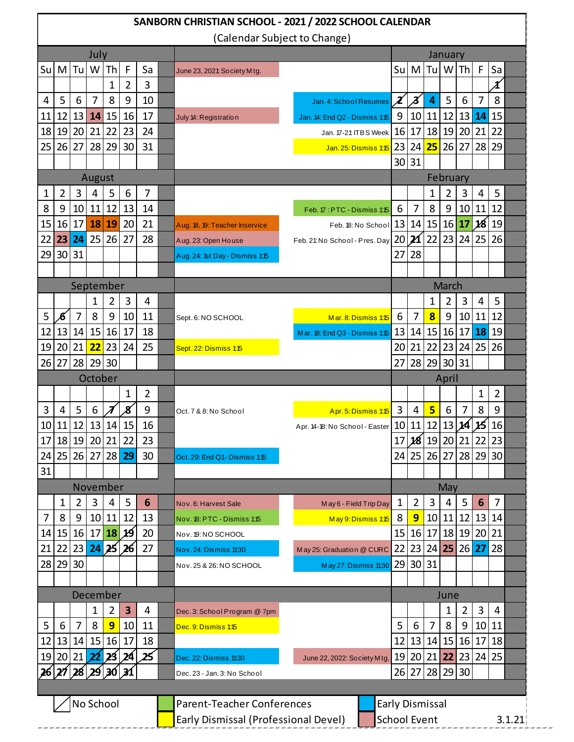| SANBORN CHRISTIAN SCHOOL - 2021 / 2022 SCHOOL CALENDAR |                 |         |                                      |              |                |                     |       |                                   |                                   |  |                            |                |                         |          |    |    |                              |  |
|--------------------------------------------------------|-----------------|---------|--------------------------------------|--------------|----------------|---------------------|-------|-----------------------------------|-----------------------------------|--|----------------------------|----------------|-------------------------|----------|----|----|------------------------------|--|
| (Calendar Subject to Change)                           |                 |         |                                      |              |                |                     |       |                                   |                                   |  |                            |                |                         |          |    |    |                              |  |
|                                                        |                 |         | July                                 |              |                |                     |       |                                   |                                   |  |                            | January        |                         |          |    |    |                              |  |
| Su                                                     | M               | Tu      | W                                    | Th           | F              | Sa                  |       | June 23, 2021: So ciety M tg.     |                                   |  | Su                         | M              | Tu                      | W        | Th | F  | Sa                           |  |
|                                                        |                 |         |                                      | $\mathbf{1}$ | $\overline{2}$ | 3                   |       |                                   |                                   |  |                            |                |                         |          |    |    | $\boldsymbol{\mathit{\chi}}$ |  |
| 4                                                      | 5               | 6       | $\overline{7}$                       | 8            | 9              | 10                  |       |                                   | Jan. 4: School Resumes            |  | $\boldsymbol{\mathcal{X}}$ | Z              | $\overline{a}$          | 5        | 6  | 7  | 8                            |  |
| 11                                                     | 12              | 13      | 14                                   | 15           | 16             | 17                  |       | July 14: Registration             | Jan. 14: End Q2 - Dismiss 1:15    |  | 9                          | 10             | 11                      | 12       | 13 | 14 | 15                           |  |
| 18                                                     | 19              | 20      | 21                                   | 22           | 23             | 24                  |       |                                   | Jan. 17-21: ITBS Week             |  | 16                         | 17             | 18                      | 19       | 20 | 21 | 22                           |  |
| 25                                                     | 26              | 27      | 28                                   | 29           | 30             | 31                  |       |                                   | Jan. 25: Dismiss 1:15             |  | 23                         | 24             | 25                      | 26       | 27 | 28 | 29                           |  |
|                                                        |                 |         |                                      |              |                |                     |       |                                   |                                   |  |                            | 30 31          |                         |          |    |    |                              |  |
|                                                        |                 |         | August                               |              |                |                     |       |                                   |                                   |  |                            |                |                         | February |    |    |                              |  |
| 1                                                      | 2               | 3       | 4                                    | 5            | 6              | 7                   |       |                                   |                                   |  |                            |                | 1                       | 2        | 3  | 4  | 5                            |  |
| 8                                                      | 9               | 10      | 11                                   | 12           | 13             | 14                  |       |                                   | Feb. 17: PTC - Dismiss 1:15       |  | 6                          | 7              | 8                       | 9        | 10 | 11 | 12                           |  |
| 15                                                     | 16              | 17      | 18                                   | 19           | 20             | 21                  |       | Aug. 18, 19: Teacher Inservice    | Feb. 18: No School                |  | 13                         | 14             | 15                      | 16       | 17 | 18 | 19                           |  |
| 22                                                     | 23              | 24      | 25                                   | 26           | 27             | 28                  |       | Aug. 23: Open House               | Feb. 21 No School - Pres. Day     |  | 20                         | 21             | 22                      | 23       | 24 | 25 | 26                           |  |
| 29                                                     | 30 <sup>1</sup> | 31      |                                      |              |                |                     |       | Aug. 24: 1st Day - Dismiss 1:15   |                                   |  | 27                         | 28             |                         |          |    |    |                              |  |
|                                                        |                 |         |                                      |              |                |                     |       |                                   |                                   |  |                            |                |                         |          |    |    |                              |  |
|                                                        |                 |         | September                            |              |                |                     |       |                                   |                                   |  |                            |                |                         | March    |    |    |                              |  |
|                                                        |                 |         | 1                                    | 2            | 3              | 4                   |       |                                   |                                   |  |                            |                | 1                       | 2        | 3  | 4  | 5                            |  |
| 5                                                      | Æ               | 7       | 8                                    | 9            | 10             | 11                  |       | Sept. 6: NO SCHOOL                | Mar. 8: Dismiss 115               |  | 6                          | 7              | $\overline{\mathbf{8}}$ | 9        | 10 | 11 | 12                           |  |
| 12                                                     | 13              | 14      | 15                                   | 16           | 17             | 18                  |       |                                   | Mar. 18: End Q3 - Dismiss 1:15    |  | 13                         | 14             | 15                      | 16       | 17 | 18 | 19                           |  |
| 19                                                     | 20              | 21      | 22                                   | 23           | 24             | 25                  |       | Sept. 22: Dismiss 1:15            |                                   |  | 20                         | 21             | 22                      | 23       | 24 | 25 | 26                           |  |
| 26                                                     | 27              | 28      | 29                                   | 30           |                |                     |       |                                   |                                   |  | 27                         | 28             | 29                      | 30       | 31 |    |                              |  |
| October                                                |                 |         |                                      |              |                |                     | April |                                   |                                   |  |                            |                |                         |          |    |    |                              |  |
|                                                        |                 |         |                                      |              | 1              | $\overline{2}$      |       |                                   |                                   |  |                            |                |                         |          |    | 1  | 2                            |  |
| 3                                                      | 4               | 5       | 6                                    | 7            | 8              | 9                   |       | Oct. 7 & 8: No School             | Apr. 5: Dismiss 115               |  | 3                          | 4              | 5                       | 6        | 7  | 8  | 9                            |  |
| 10                                                     | 11              | 12      | 13                                   | 14           | 15             | 16                  |       |                                   | Apr. 14-18: No School - Easter 10 |  |                            | 11             | 12                      | 13       | 14 | 15 | 16                           |  |
| 17                                                     |                 |         | 18 19 20 21                          |              | 22             | 23                  |       |                                   |                                   |  |                            | 17 28 19 20 21 |                         |          |    | 22 | 23                           |  |
| 24                                                     | 25              | 26      | 27                                   | 28           | 29             | 30                  |       | Oct. 29: End Q1- Dismiss 1:15     |                                   |  |                            | 24 25          | 26                      | 27       | 28 | 29 | 30                           |  |
| 31                                                     |                 |         |                                      |              |                |                     |       |                                   |                                   |  |                            |                |                         |          |    |    |                              |  |
|                                                        |                 |         | November                             |              |                |                     |       |                                   |                                   |  |                            |                |                         | May      |    |    |                              |  |
|                                                        | 1               | 2       | 3                                    | 4            | 5              | 6                   |       | Nov. 6: Harvest Sale              | May 6 - Field Trip Day            |  | 1                          | 2              | 3                       | 4        | 5  | 6  | 7                            |  |
| $\overline{7}$                                         | 8               | 9       | 10 <sup>1</sup>                      | 11           | 12             | 13                  |       | Nov. 18: PTC - Dismiss 1:15       | May 9: Dismiss 115                |  | 8                          | 9              | 10                      | 11       | 12 | 13 | 14                           |  |
| 14                                                     | 15              | 16      | 17                                   | 18           | 19             | 20                  |       | Nov. 19: NO SCHOOL                |                                   |  | 15                         | 16             | 17                      | 18       | 19 | 20 | 21                           |  |
| 21                                                     | 22              | 23      | 24                                   | 25           | 26             | 27                  |       | Nov. 24: Dismiss 11:30            | May 25: Graduation @ CURC         |  | 22                         | 23             | 24                      | 25       | 26 | 27 | 28                           |  |
| 28                                                     | 29              | 30      |                                      |              |                |                     |       | Nov. 25 & 26: NO SCHOOL           | May 27: Dismiss 11:30             |  | 29                         | 30             | 31                      |          |    |    |                              |  |
|                                                        |                 |         |                                      |              |                |                     |       |                                   |                                   |  |                            |                |                         |          |    |    |                              |  |
|                                                        |                 |         | December                             |              |                |                     |       |                                   |                                   |  |                            |                |                         | June     |    |    |                              |  |
|                                                        |                 |         | 1                                    | 2            | 3              | 4                   |       | Dec. 3: School Program @ 7pm      |                                   |  |                            |                |                         | 1        | 2  | 3  | $\overline{4}$               |  |
| 5                                                      | 6               | 7       | 8                                    | 9            | 10             | 11                  |       | Dec. 9: Dismiss 1:15              |                                   |  | 5                          | 6              | 7                       | 8        | 9  | 10 | 11                           |  |
| 12                                                     | 13              | 14      | 15                                   | 16           | 17             | 18                  |       |                                   |                                   |  | 12                         | 13             | 14                      | 15       | 16 | 17 | 18                           |  |
| 19                                                     | 20              | 21      | 22                                   | 23           | 24             | 25                  |       | Dec. 22: Dismiss 11:30            | June 22, 2022: Society Mtg.       |  | 19                         | 20             | 21                      | 22       | 23 | 24 | 25                           |  |
| 26                                                     |                 | 27   28 |                                      | 29 30 31     |                |                     |       | Dec. 23 - Jan. 3: No School       |                                   |  |                            | 26 27          | 28                      | 29       | 30 |    |                              |  |
|                                                        |                 |         |                                      |              |                |                     |       |                                   |                                   |  |                            |                |                         |          |    |    |                              |  |
|                                                        |                 |         | No School                            |              |                |                     |       | <b>Parent-Teacher Conferences</b> |                                   |  | <b>Early Dismissal</b>     |                |                         |          |    |    |                              |  |
|                                                        |                 |         | Early Dismissal (Professional Devel) |              |                | <b>School Event</b> |       |                                   |                                   |  |                            |                | 3.1.21                  |          |    |    |                              |  |